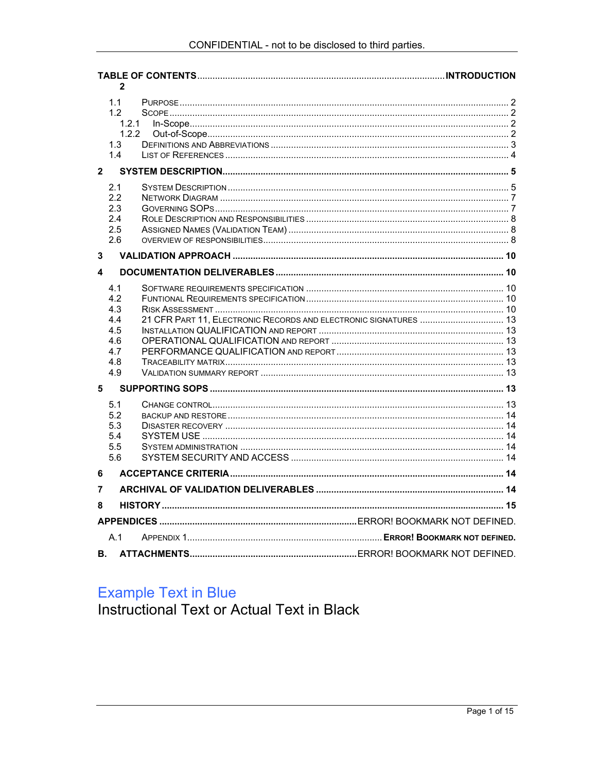| $\mathbf{2}$            |                                                             |                                                                  |  |  |  |
|-------------------------|-------------------------------------------------------------|------------------------------------------------------------------|--|--|--|
|                         | 1.1<br>1.2<br>1.3<br>1.4                                    | 1.2.1<br>1.2.2                                                   |  |  |  |
| $\overline{2}$          |                                                             |                                                                  |  |  |  |
|                         | 2.1<br>2.2<br>2.3<br>2.4<br>2.5<br>2.6                      |                                                                  |  |  |  |
| 3                       |                                                             |                                                                  |  |  |  |
| $\overline{\mathbf{4}}$ |                                                             |                                                                  |  |  |  |
|                         | 4.1<br>4.2<br>4.3<br>4.4<br>4.5<br>4.6<br>4.7<br>4.8<br>4.9 | 21 CFR PART 11, ELECTRONIC RECORDS AND ELECTRONIC SIGNATURES  13 |  |  |  |
| 5                       |                                                             |                                                                  |  |  |  |
|                         | 5.1<br>5.2<br>5.3<br>5.4<br>5.5<br>5.6                      |                                                                  |  |  |  |
| 6                       |                                                             |                                                                  |  |  |  |
| 7                       |                                                             |                                                                  |  |  |  |
| 8                       |                                                             |                                                                  |  |  |  |
|                         |                                                             |                                                                  |  |  |  |
|                         | A.1                                                         |                                                                  |  |  |  |
| В.                      |                                                             |                                                                  |  |  |  |

# **Example Text in Blue**

Instructional Text or Actual Text in Black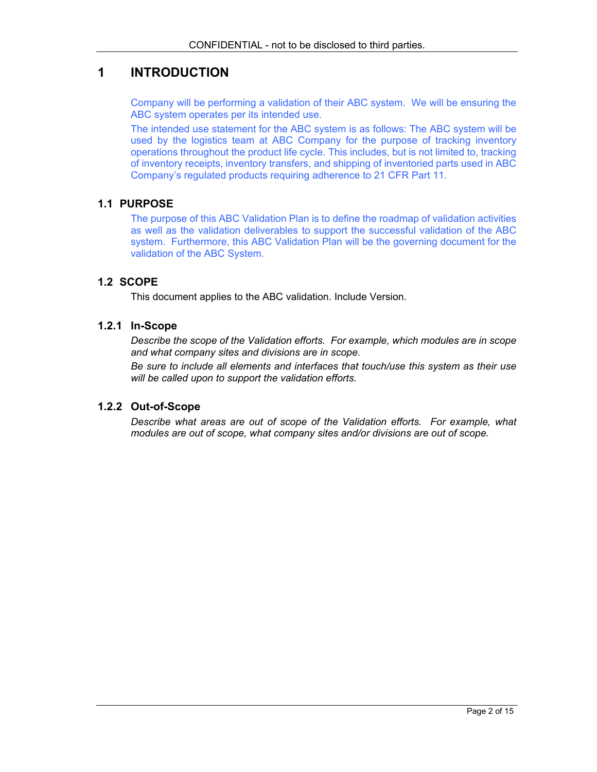# **1 INTRODUCTION**

Company will be performing a validation of their ABC system. We will be ensuring the ABC system operates per its intended use.

The intended use statement for the ABC system is as follows: The ABC system will be used by the logistics team at ABC Company for the purpose of tracking inventory operations throughout the product life cycle. This includes, but is not limited to, tracking of inventory receipts, inventory transfers, and shipping of inventoried parts used in ABC Company's regulated products requiring adherence to 21 CFR Part 11.

## **1.1 PURPOSE**

The purpose of this ABC Validation Plan is to define the roadmap of validation activities as well as the validation deliverables to support the successful validation of the ABC system. Furthermore, this ABC Validation Plan will be the governing document for the validation of the ABC System.

## **1.2 SCOPE**

This document applies to the ABC validation. Include Version.

#### **1.2.1 In-Scope**

*Describe the scope of the Validation efforts. For example, which modules are in scope and what company sites and divisions are in scope.* 

*Be sure to include all elements and interfaces that touch/use this system as their use will be called upon to support the validation efforts.* 

#### **1.2.2 Out-of-Scope**

*Describe what areas are out of scope of the Validation efforts. For example, what modules are out of scope, what company sites and/or divisions are out of scope.*